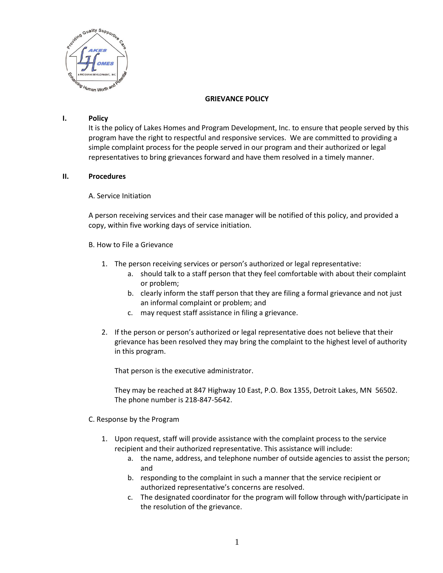

## **GRIEVANCE POLICY**

## **I. Policy**

It is the policy of Lakes Homes and Program Development, Inc. to ensure that people served by this program have the right to respectful and responsive services. We are committed to providing a simple complaint process for the people served in our program and their authorized or legal representatives to bring grievances forward and have them resolved in a timely manner.

## **II. Procedures**

## A. Service Initiation

A person receiving services and their case manager will be notified of this policy, and provided a copy, within five working days of service initiation.

- B. How to File a Grievance
	- 1. The person receiving services or person's authorized or legal representative:
		- a. should talk to a staff person that they feel comfortable with about their complaint or problem;
		- b. clearly inform the staff person that they are filing a formal grievance and not just an informal complaint or problem; and
		- c. may request staff assistance in filing a grievance.
	- 2. If the person or person's authorized or legal representative does not believe that their grievance has been resolved they may bring the complaint to the highest level of authority in this program.

That person is the executive administrator.

They may be reached at 847 Highway 10 East, P.O. Box 1355, Detroit Lakes, MN 56502. The phone number is 218-847-5642.

- C. Response by the Program
	- 1. Upon request, staff will provide assistance with the complaint process to the service recipient and their authorized representative. This assistance will include:
		- a. the name, address, and telephone number of outside agencies to assist the person; and
		- b. responding to the complaint in such a manner that the service recipient or authorized representative's concerns are resolved.
		- c. The designated coordinator for the program will follow through with/participate in the resolution of the grievance.